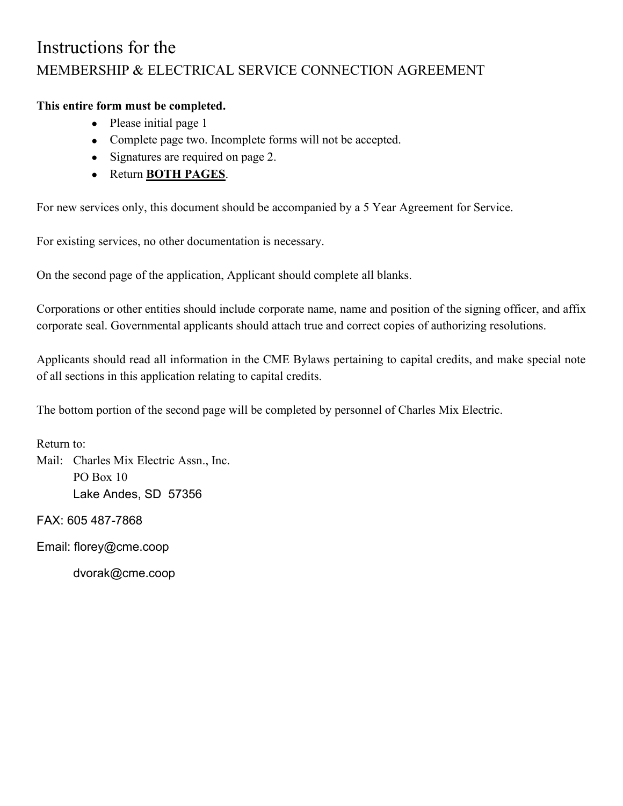## Instructions for the MEMBERSHIP & ELECTRICAL SERVICE CONNECTION AGREEMENT

## **This entire form must be completed.**

- Please initial page 1
- Complete page two. Incomplete forms will not be accepted.
- Signatures are required on page 2.
- Return **BOTH PAGES**.

For new services only, this document should be accompanied by a 5 Year Agreement for Service.

For existing services, no other documentation is necessary.

On the second page of the application, Applicant should complete all blanks.

Corporations or other entities should include corporate name, name and position of the signing officer, and affix corporate seal. Governmental applicants should attach true and correct copies of authorizing resolutions.

Applicants should read all information in the CME Bylaws pertaining to capital credits, and make special note of all sections in this application relating to capital credits.

The bottom portion of the second page will be completed by personnel of Charles Mix Electric.

Return to:

Mail: Charles Mix Electric Assn., Inc. PO Box 10 Lake Andes, SD 57356

FAX: 605 487-7868

Email: florey@cme.coop

dvorak@cme.coop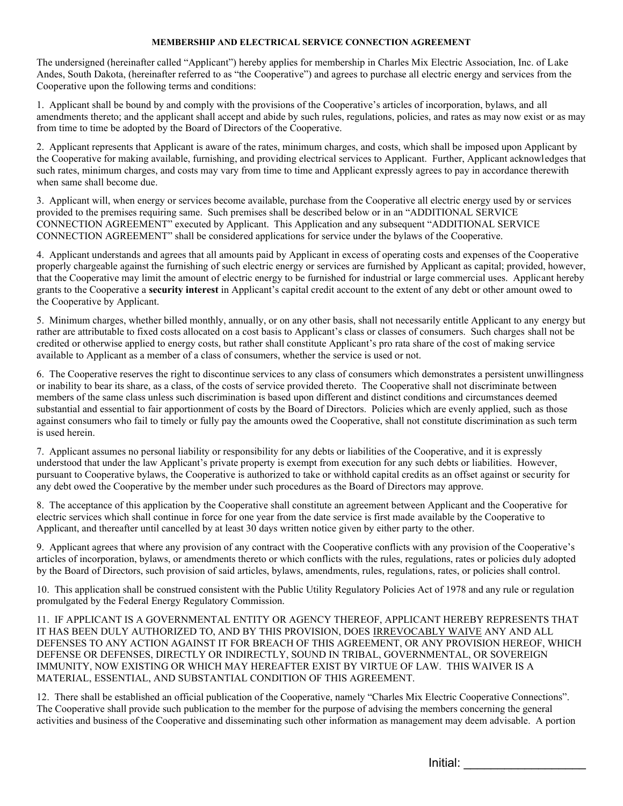## **MEMBERSHIP AND ELECTRICAL SERVICE CONNECTION AGREEMENT**

The undersigned (hereinafter called "Applicant") hereby applies for membership in Charles Mix Electric Association, Inc. of Lake Andes, South Dakota, (hereinafter referred to as "the Cooperative") and agrees to purchase all electric energy and services from the Cooperative upon the following terms and conditions:

1. Applicant shall be bound by and comply with the provisions of the Cooperative's articles of incorporation, bylaws, and all amendments thereto; and the applicant shall accept and abide by such rules, regulations, policies, and rates as may now exist or as may from time to time be adopted by the Board of Directors of the Cooperative.

2. Applicant represents that Applicant is aware of the rates, minimum charges, and costs, which shall be imposed upon Applicant by the Cooperative for making available, furnishing, and providing electrical services to Applicant. Further, Applicant acknowledges that such rates, minimum charges, and costs may vary from time to time and Applicant expressly agrees to pay in accordance therewith when same shall become due.

3. Applicant will, when energy or services become available, purchase from the Cooperative all electric energy used by or services provided to the premises requiring same. Such premises shall be described below or in an "ADDITIONAL SERVICE CONNECTION AGREEMENT" executed by Applicant. This Application and any subsequent "ADDITIONAL SERVICE CONNECTION AGREEMENT" shall be considered applications for service under the bylaws of the Cooperative.

4. Applicant understands and agrees that all amounts paid by Applicant in excess of operating costs and expenses of the Cooperative properly chargeable against the furnishing of such electric energy or services are furnished by Applicant as capital; provided, however, that the Cooperative may limit the amount of electric energy to be furnished for industrial or large commercial uses. Applicant hereby grants to the Cooperative a **security interest** in Applicant's capital credit account to the extent of any debt or other amount owed to the Cooperative by Applicant.

5. Minimum charges, whether billed monthly, annually, or on any other basis, shall not necessarily entitle Applicant to any energy but rather are attributable to fixed costs allocated on a cost basis to Applicant's class or classes of consumers. Such charges shall not be credited or otherwise applied to energy costs, but rather shall constitute Applicant's pro rata share of the cost of making service available to Applicant as a member of a class of consumers, whether the service is used or not.

6. The Cooperative reserves the right to discontinue services to any class of consumers which demonstrates a persistent unwillingness or inability to bear its share, as a class, of the costs of service provided thereto. The Cooperative shall not discriminate between members of the same class unless such discrimination is based upon different and distinct conditions and circumstances deemed substantial and essential to fair apportionment of costs by the Board of Directors. Policies which are evenly applied, such as those against consumers who fail to timely or fully pay the amounts owed the Cooperative, shall not constitute discrimination as such term is used herein.

7. Applicant assumes no personal liability or responsibility for any debts or liabilities of the Cooperative, and it is expressly understood that under the law Applicant's private property is exempt from execution for any such debts or liabilities. However, pursuant to Cooperative bylaws, the Cooperative is authorized to take or withhold capital credits as an offset against or security for any debt owed the Cooperative by the member under such procedures as the Board of Directors may approve.

8. The acceptance of this application by the Cooperative shall constitute an agreement between Applicant and the Cooperative for electric services which shall continue in force for one year from the date service is first made available by the Cooperative to Applicant, and thereafter until cancelled by at least 30 days written notice given by either party to the other.

9. Applicant agrees that where any provision of any contract with the Cooperative conflicts with any provision of the Cooperative's articles of incorporation, bylaws, or amendments thereto or which conflicts with the rules, regulations, rates or policies duly adopted by the Board of Directors, such provision of said articles, bylaws, amendments, rules, regulations, rates, or policies shall control.

10. This application shall be construed consistent with the Public Utility Regulatory Policies Act of 1978 and any rule or regulation promulgated by the Federal Energy Regulatory Commission.

11. IF APPLICANT IS A GOVERNMENTAL ENTITY OR AGENCY THEREOF, APPLICANT HEREBY REPRESENTS THAT IT HAS BEEN DULY AUTHORIZED TO, AND BY THIS PROVISION, DOES IRREVOCABLY WAIVE ANY AND ALL DEFENSES TO ANY ACTION AGAINST IT FOR BREACH OF THIS AGREEMENT, OR ANY PROVISION HEREOF, WHICH DEFENSE OR DEFENSES, DIRECTLY OR INDIRECTLY, SOUND IN TRIBAL, GOVERNMENTAL, OR SOVEREIGN IMMUNITY, NOW EXISTING OR WHICH MAY HEREAFTER EXIST BY VIRTUE OF LAW. THIS WAIVER IS A MATERIAL, ESSENTIAL, AND SUBSTANTIAL CONDITION OF THIS AGREEMENT.

12. There shall be established an official publication of the Cooperative, namely "Charles Mix Electric Cooperative Connections". The Cooperative shall provide such publication to the member for the purpose of advising the members concerning the general activities and business of the Cooperative and disseminating such other information as management may deem advisable. A portion

Initial: \_\_\_\_\_\_\_\_\_\_\_\_\_\_\_\_\_\_